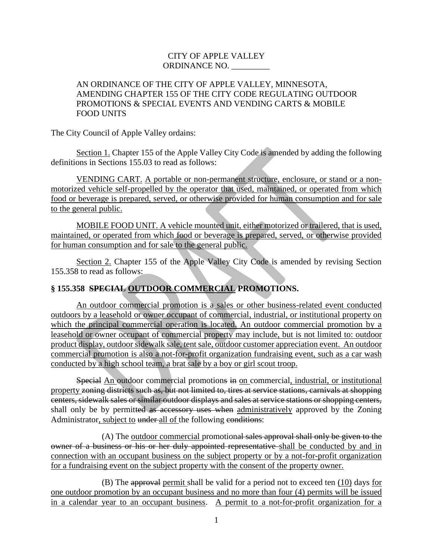## CITY OF APPLE VALLEY ORDINANCE NO. \_\_\_\_\_\_\_\_\_

## AN ORDINANCE OF THE CITY OF APPLE VALLEY, MINNESOTA, AMENDING CHAPTER 155 OF THE CITY CODE REGULATING OUTDOOR PROMOTIONS & SPECIAL EVENTS AND VENDING CARTS & MOBILE FOOD UNITS

The City Council of Apple Valley ordains:

Section 1. Chapter 155 of the Apple Valley City Code is amended by adding the following definitions in Sections 155.03 to read as follows:

VENDING CART. A portable or non-permanent structure, enclosure, or stand or a nonmotorized vehicle self-propelled by the operator that used, maintained, or operated from which food or beverage is prepared, served, or otherwise provided for human consumption and for sale to the general public.

MOBILE FOOD UNIT. A vehicle mounted unit, either motorized or trailered, that is used, maintained, or operated from which food or beverage is prepared, served, or otherwise provided for human consumption and for sale to the general public.

Section 2. Chapter 155 of the Apple Valley City Code is amended by revising Section 155.358 to read as follows:

# **§ 155.358 SPECIAL OUTDOOR COMMERCIAL PROMOTIONS.**

An outdoor commercial promotion is a sales or other business-related event conducted outdoors by a leasehold or owner occupant of commercial, industrial, or institutional property on which the principal commercial operation is located. An outdoor commercial promotion by a leasehold or owner occupant of commercial property may include, but is not limited to: outdoor product display, outdoor sidewalk sale, tent sale, outdoor customer appreciation event. An outdoor commercial promotion is also a not-for-profit organization fundraising event, such as a car wash conducted by a high school team, a brat sale by a boy or girl scout troop.

Special An outdoor commercial promotions in on commercial, industrial, or institutional property zoning districts such as, but not limited to, tires at service stations, carnivals at shopping centers, sidewalk sales or similar outdoor displays and sales at service stations or shopping centers, shall only be by permitted as accessory uses when administratively approved by the Zoning Administrator, subject to under-all of the following conditions:

(A) The outdoor commercial promotional sales approval shall only be given to the owner of a business or his or her duly appointed representative shall be conducted by and in connection with an occupant business on the subject property or by a not-for-profit organization for a fundraising event on the subject property with the consent of the property owner.

(B) The approval permit shall be valid for a period not to exceed ten (10) days for one outdoor promotion by an occupant business and no more than four (4) permits will be issued in a calendar year to an occupant business. A permit to a not-for-profit organization for a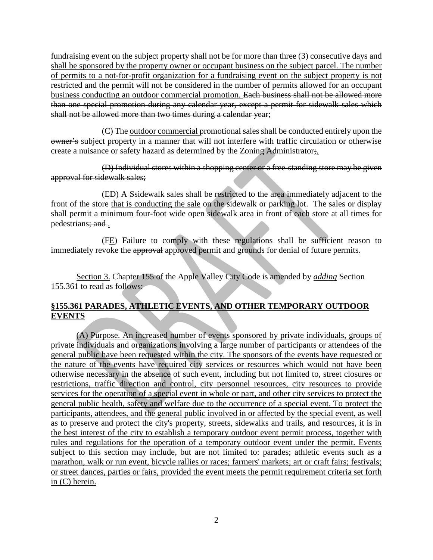fundraising event on the subject property shall not be for more than three (3) consecutive days and shall be sponsored by the property owner or occupant business on the subject parcel. The number of permits to a not-for-profit organization for a fundraising event on the subject property is not restricted and the permit will not be considered in the number of permits allowed for an occupant business conducting an outdoor commercial promotion. Each business shall not be allowed more than one special promotion during any calendar year, except a permit for sidewalk sales which shall not be allowed more than two times during a calendar year;

(C) The outdoor commercial promotional sales shall be conducted entirely upon the owner's subject property in a manner that will not interfere with traffic circulation or otherwise create a nuisance or safety hazard as determined by the Zoning Administrator;.

(D) Individual stores within a shopping center or a free-standing store may be given approval for sidewalk sales;

(ED) A Ssidewalk sales shall be restricted to the area immediately adjacent to the front of the store that is conducting the sale on the sidewalk or parking lot. The sales or display shall permit a minimum four-foot wide open sidewalk area in front of each store at all times for pedestrians; and .

(FE) Failure to comply with these regulations shall be sufficient reason to immediately revoke the approval approved permit and grounds for denial of future permits.

Section 3. Chapter 155 of the Apple Valley City Code is amended by *adding* Section 155.361 to read as follows:

# **§155.361 PARADES, ATHLETIC EVENTS, AND OTHER TEMPORARY OUTDOOR EVENTS**

(A) Purpose. An increased number of events sponsored by private individuals, groups of private individuals and organizations involving a large number of participants or attendees of the general public have been requested within the city. The sponsors of the events have requested or the nature of the events have required city services or resources which would not have been otherwise necessary in the absence of such event, including but not limited to, street closures or restrictions, traffic direction and control, city personnel resources, city resources to provide services for the operation of a special event in whole or part, and other city services to protect the general public health, safety and welfare due to the occurrence of a special event. To protect the participants, attendees, and the general public involved in or affected by the special event, as well as to preserve and protect the city's property, streets, sidewalks and trails, and resources, it is in the best interest of the city to establish a temporary outdoor event permit process, together with rules and regulations for the operation of a temporary outdoor event under the permit. Events subject to this section may include, but are not limited to: parades; athletic events such as a marathon, walk or run event, bicycle rallies or races; farmers' markets; art or craft fairs; festivals; or street dances, parties or fairs, provided the event meets the permit requirement criteria set forth in (C) herein.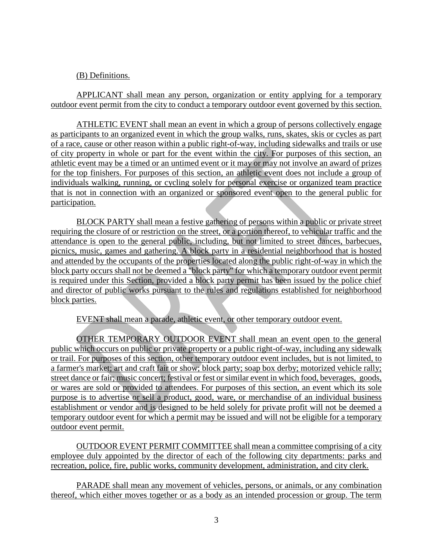## (B) Definitions.

APPLICANT shall mean any person, organization or entity applying for a temporary outdoor event permit from the city to conduct a temporary outdoor event governed by this section.

ATHLETIC EVENT shall mean an event in which a group of persons collectively engage as participants to an organized event in which the group walks, runs, skates, skis or cycles as part of a race, cause or other reason within a public right-of-way, including sidewalks and trails or use of city property in whole or part for the event within the city. For purposes of this section, an athletic event may be a timed or an untimed event or it may or may not involve an award of prizes for the top finishers. For purposes of this section, an athletic event does not include a group of individuals walking, running, or cycling solely for personal exercise or organized team practice that is not in connection with an organized or sponsored event open to the general public for participation.

BLOCK PARTY shall mean a festive gathering of persons within a public or private street requiring the closure of or restriction on the street, or a portion thereof, to vehicular traffic and the attendance is open to the general public, including, but not limited to street dances, barbecues, picnics, music, games and gathering. A block party in a residential neighborhood that is hosted and attended by the occupants of the properties located along the public right-of-way in which the block party occurs shall not be deemed a "block party" for which a temporary outdoor event permit is required under this Section, provided a block party permit has been issued by the police chief and director of public works pursuant to the rules and regulations established for neighborhood block parties.

EVENT shall mean a parade, athletic event, or other temporary outdoor event.

OTHER TEMPORARY OUTDOOR EVENT shall mean an event open to the general public which occurs on public or private property or a public right-of-way, including any sidewalk or trail. For purposes of this section, other temporary outdoor event includes, but is not limited, to a farmer's market; art and craft fair or show; block party; soap box derby; motorized vehicle rally; street dance or fair; music concert; festival or fest or similar event in which food, beverages, goods, or wares are sold or provided to attendees. For purposes of this section, an event which its sole purpose is to advertise or sell a product, good, ware, or merchandise of an individual business establishment or vendor and is designed to be held solely for private profit will not be deemed a temporary outdoor event for which a permit may be issued and will not be eligible for a temporary outdoor event permit.

OUTDOOR EVENT PERMIT COMMITTEE shall mean a committee comprising of a city employee duly appointed by the director of each of the following city departments: parks and recreation, police, fire, public works, community development, administration, and city clerk.

PARADE shall mean any movement of vehicles, persons, or animals, or any combination thereof, which either moves together or as a body as an intended procession or group. The term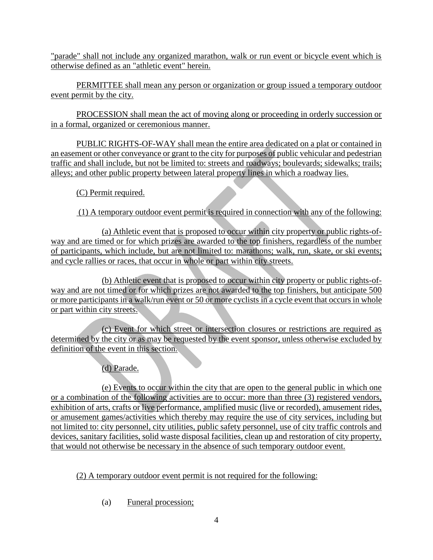"parade" shall not include any organized marathon, walk or run event or bicycle event which is otherwise defined as an "athletic event" herein.

PERMITTEE shall mean any person or organization or group issued a temporary outdoor event permit by the city.

PROCESSION shall mean the act of moving along or proceeding in orderly succession or in a formal, organized or ceremonious manner.

PUBLIC RIGHTS-OF-WAY shall mean the entire area dedicated on a plat or contained in an easement or other conveyance or grant to the city for purposes of public vehicular and pedestrian traffic and shall include, but not be limited to: streets and roadways; boulevards; sidewalks; trails; alleys; and other public property between lateral property lines in which a roadway lies.

(C) Permit required.

(1) A temporary outdoor event permit is required in connection with any of the following:

(a) Athletic event that is proposed to occur within city property or public rights-ofway and are timed or for which prizes are awarded to the top finishers, regardless of the number of participants, which include, but are not limited to: marathons; walk, run, skate, or ski events; and cycle rallies or races, that occur in whole or part within city streets.

(b) Athletic event that is proposed to occur within city property or public rights-ofway and are not timed or for which prizes are not awarded to the top finishers, but anticipate 500 or more participants in a walk/run event or 50 or more cyclists in a cycle event that occurs in whole or part within city streets.

(c) Event for which street or intersection closures or restrictions are required as determined by the city or as may be requested by the event sponsor, unless otherwise excluded by definition of the event in this section.

(d) Parade.

(e) Events to occur within the city that are open to the general public in which one or a combination of the following activities are to occur: more than three (3) registered vendors, exhibition of arts, crafts or live performance, amplified music (live or recorded), amusement rides, or amusement games/activities which thereby may require the use of city services, including but not limited to: city personnel, city utilities, public safety personnel, use of city traffic controls and devices, sanitary facilities, solid waste disposal facilities, clean up and restoration of city property, that would not otherwise be necessary in the absence of such temporary outdoor event.

(2) A temporary outdoor event permit is not required for the following:

(a) Funeral procession;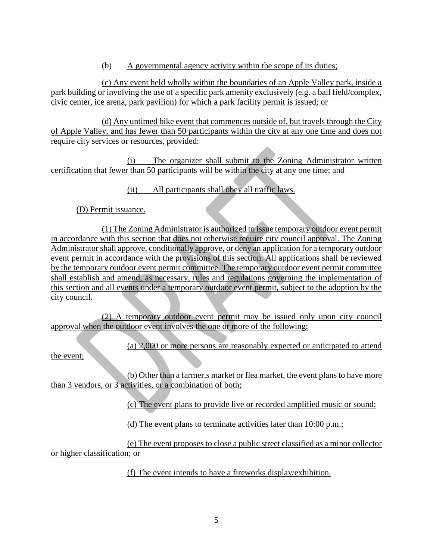(b) A governmental agency activity within the scope of its duties;

(c) Any event held wholly within the boundaries of an Apple Valley park, inside a park building or involving the use of a specific park amenity exclusively (e.g. a ball field/complex, civic center, ice arena, park pavilion) for which a park facility permit is issued; or

(d) Any untimed bike event that commences outside of, but travels through the City of Apple Valley, and has fewer than 50 participants within the city at any one time and does not require city services or resources, provided:

(i) The organizer shall submit to the Zoning Administrator written certification that fewer than 50 participants will be within the city at any one time; and

(ii) All participants shall obey all traffic laws.

(D) Permit issuance.

(1) The Zoning Administrator is authorized to issue temporary outdoor event permit in accordance with this section that does not otherwise require city council approval. The Zoning Administrator shall approve, conditionally approve, or deny an application for a temporary outdoor event permit in accordance with the provisions of this section. All applications shall be reviewed by the temporary outdoor event permit committee. The temporary outdoor event permit committee shall establish and amend, as necessary, rules and regulations governing the implementation of this section and all events under a temporary outdoor event permit, subject to the adoption by the city council.

(2) A temporary outdoor event permit may be issued only upon city council approval when the outdoor event involves the one or more of the following:

(a) 2,000 or more persons are reasonably expected or anticipated to attend

the event;

(b) Other than a farmer,s market or flea market, the event plans to have more than 3 vendors, or 3 activities, or a combination of both;

(c) The event plans to provide live or recorded amplified music or sound;

(d) The event plans to terminate activities later than 10:00 p.m.;

(e) The event proposes to close a public street classified as a minor collector or higher classification; or

(f) The event intends to have a fireworks display/exhibition.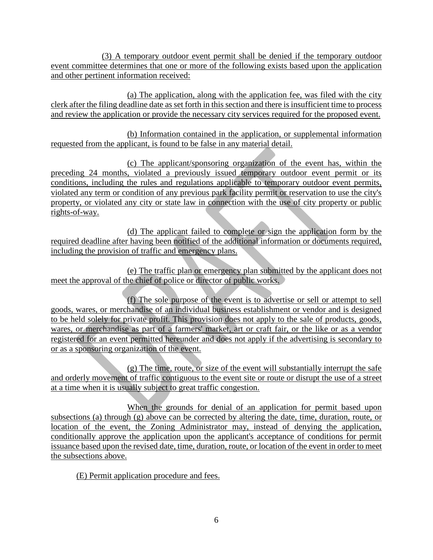(3) A temporary outdoor event permit shall be denied if the temporary outdoor event committee determines that one or more of the following exists based upon the application and other pertinent information received:

(a) The application, along with the application fee, was filed with the city clerk after the filing deadline date as set forth in this section and there is insufficient time to process and review the application or provide the necessary city services required for the proposed event.

(b) Information contained in the application, or supplemental information requested from the applicant, is found to be false in any material detail.

(c) The applicant/sponsoring organization of the event has, within the preceding 24 months, violated a previously issued temporary outdoor event permit or its conditions, including the rules and regulations applicable to temporary outdoor event permits, violated any term or condition of any previous park facility permit or reservation to use the city's property, or violated any city or state law in connection with the use of city property or public rights-of-way.

(d) The applicant failed to complete or sign the application form by the required deadline after having been notified of the additional information or documents required, including the provision of traffic and emergency plans.

(e) The traffic plan or emergency plan submitted by the applicant does not meet the approval of the chief of police or director of public works.

(f) The sole purpose of the event is to advertise or sell or attempt to sell goods, wares, or merchandise of an individual business establishment or vendor and is designed to be held solely for private profit. This provision does not apply to the sale of products, goods, wares, or merchandise as part of a farmers' market, art or craft fair, or the like or as a vendor registered for an event permitted hereunder and does not apply if the advertising is secondary to or as a sponsoring organization of the event.

(g) The time, route, or size of the event will substantially interrupt the safe and orderly movement of traffic contiguous to the event site or route or disrupt the use of a street at a time when it is usually subject to great traffic congestion.

When the grounds for denial of an application for permit based upon subsections (a) through (g) above can be corrected by altering the date, time, duration, route, or location of the event, the Zoning Administrator may, instead of denying the application, conditionally approve the application upon the applicant's acceptance of conditions for permit issuance based upon the revised date, time, duration, route, or location of the event in order to meet the subsections above.

(E) Permit application procedure and fees.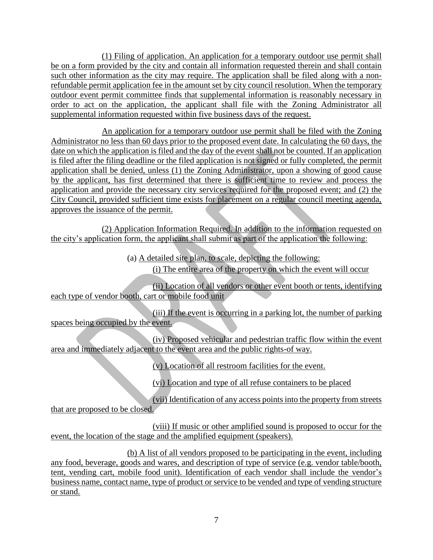(1) Filing of application. An application for a temporary outdoor use permit shall be on a form provided by the city and contain all information requested therein and shall contain such other information as the city may require. The application shall be filed along with a nonrefundable permit application fee in the amount set by city council resolution. When the temporary outdoor event permit committee finds that supplemental information is reasonably necessary in order to act on the application, the applicant shall file with the Zoning Administrator all supplemental information requested within five business days of the request.

An application for a temporary outdoor use permit shall be filed with the Zoning Administrator no less than 60 days prior to the proposed event date. In calculating the 60 days, the date on which the application is filed and the day of the event shall not be counted. If an application is filed after the filing deadline or the filed application is not signed or fully completed, the permit application shall be denied, unless (1) the Zoning Administrator, upon a showing of good cause by the applicant, has first determined that there is sufficient time to review and process the application and provide the necessary city services required for the proposed event; and (2) the City Council, provided sufficient time exists for placement on a regular council meeting agenda, approves the issuance of the permit.

(2) Application Information Required. In addition to the information requested on the city's application form, the applicant shall submit as part of the application the following:

> (a) A detailed site plan, to scale, depicting the following: (i) The entire area of the property on which the event will occur

(ii) Location of all vendors or other event booth or tents, identifying each type of vendor booth, cart or mobile food unit

(iii) If the event is occurring in a parking lot, the number of parking spaces being occupied by the event.

(iv) Proposed vehicular and pedestrian traffic flow within the event area and immediately adjacent to the event area and the public rights-of way.

(v) Location of all restroom facilities for the event.

(vi) Location and type of all refuse containers to be placed

(vii) Identification of any access points into the property from streets that are proposed to be closed.

(viii) If music or other amplified sound is proposed to occur for the event, the location of the stage and the amplified equipment (speakers).

(b) A list of all vendors proposed to be participating in the event, including any food, beverage, goods and wares, and description of type of service (e.g. vendor table/booth, tent, vending cart, mobile food unit). Identification of each vendor shall include the vendor's business name, contact name, type of product or service to be vended and type of vending structure or stand.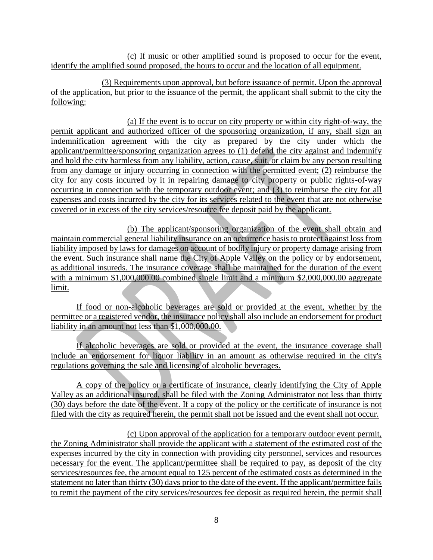(c) If music or other amplified sound is proposed to occur for the event, identify the amplified sound proposed, the hours to occur and the location of all equipment.

(3) Requirements upon approval, but before issuance of permit. Upon the approval of the application, but prior to the issuance of the permit, the applicant shall submit to the city the following:

(a) If the event is to occur on city property or within city right-of-way, the permit applicant and authorized officer of the sponsoring organization, if any, shall sign an indemnification agreement with the city as prepared by the city under which the applicant/permittee/sponsoring organization agrees to (1) defend the city against and indemnify and hold the city harmless from any liability, action, cause, suit, or claim by any person resulting from any damage or injury occurring in connection with the permitted event; (2) reimburse the city for any costs incurred by it in repairing damage to city property or public rights-of-way occurring in connection with the temporary outdoor event; and (3) to reimburse the city for all expenses and costs incurred by the city for its services related to the event that are not otherwise covered or in excess of the city services/resource fee deposit paid by the applicant.

(b) The applicant/sponsoring organization of the event shall obtain and maintain commercial general liability insurance on an occurrence basis to protect against loss from liability imposed by laws for damages on account of bodily injury or property damage arising from the event. Such insurance shall name the City of Apple Valley on the policy or by endorsement, as additional insureds. The insurance coverage shall be maintained for the duration of the event with a minimum \$1,000,000.00 combined single limit and a minimum \$2,000,000.00 aggregate limit.

If food or non-alcoholic beverages are sold or provided at the event, whether by the permittee or a registered vendor, the insurance policy shall also include an endorsement for product liability in an amount not less than \$1,000,000.00.

If alcoholic beverages are sold or provided at the event, the insurance coverage shall include an endorsement for liquor liability in an amount as otherwise required in the city's regulations governing the sale and licensing of alcoholic beverages.

A copy of the policy or a certificate of insurance, clearly identifying the City of Apple Valley as an additional insured, shall be filed with the Zoning Administrator not less than thirty (30) days before the date of the event. If a copy of the policy or the certificate of insurance is not filed with the city as required herein, the permit shall not be issued and the event shall not occur.

(c) Upon approval of the application for a temporary outdoor event permit, the Zoning Administrator shall provide the applicant with a statement of the estimated cost of the expenses incurred by the city in connection with providing city personnel, services and resources necessary for the event. The applicant/permittee shall be required to pay, as deposit of the city services/resources fee, the amount equal to 125 percent of the estimated costs as determined in the statement no later than thirty (30) days prior to the date of the event. If the applicant/permittee fails to remit the payment of the city services/resources fee deposit as required herein, the permit shall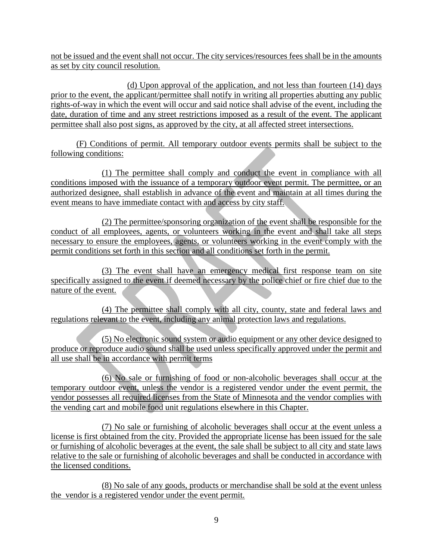not be issued and the event shall not occur. The city services/resources fees shall be in the amounts as set by city council resolution.

(d) Upon approval of the application, and not less than fourteen (14) days prior to the event, the applicant/permittee shall notify in writing all properties abutting any public rights-of-way in which the event will occur and said notice shall advise of the event, including the date, duration of time and any street restrictions imposed as a result of the event. The applicant permittee shall also post signs, as approved by the city, at all affected street intersections.

(F) Conditions of permit. All temporary outdoor events permits shall be subject to the following conditions:

(1) The permittee shall comply and conduct the event in compliance with all conditions imposed with the issuance of a temporary outdoor event permit. The permittee, or an authorized designee, shall establish in advance of the event and maintain at all times during the event means to have immediate contact with and access by city staff.

(2) The permittee/sponsoring organization of the event shall be responsible for the conduct of all employees, agents, or volunteers working in the event and shall take all steps necessary to ensure the employees, agents, or volunteers working in the event comply with the permit conditions set forth in this section and all conditions set forth in the permit.

(3) The event shall have an emergency medical first response team on site specifically assigned to the event if deemed necessary by the police chief or fire chief due to the nature of the event.

(4) The permittee shall comply with all city, county, state and federal laws and regulations relevant to the event, including any animal protection laws and regulations.

(5) No electronic sound system or audio equipment or any other device designed to produce or reproduce audio sound shall be used unless specifically approved under the permit and all use shall be in accordance with permit terms

(6) No sale or furnishing of food or non-alcoholic beverages shall occur at the temporary outdoor event, unless the vendor is a registered vendor under the event permit, the vendor possesses all required licenses from the State of Minnesota and the vendor complies with the vending cart and mobile food unit regulations elsewhere in this Chapter.

(7) No sale or furnishing of alcoholic beverages shall occur at the event unless a license is first obtained from the city. Provided the appropriate license has been issued for the sale or furnishing of alcoholic beverages at the event, the sale shall be subject to all city and state laws relative to the sale or furnishing of alcoholic beverages and shall be conducted in accordance with the licensed conditions.

(8) No sale of any goods, products or merchandise shall be sold at the event unless the vendor is a registered vendor under the event permit.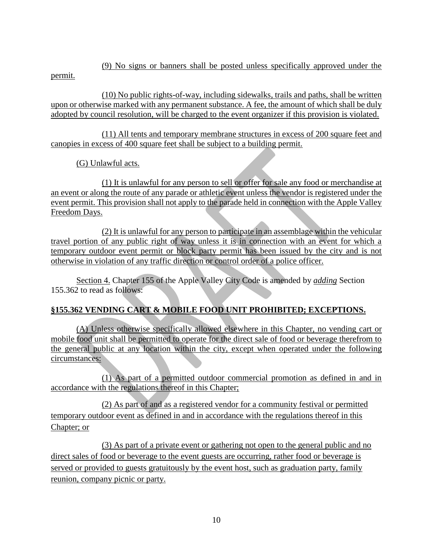(9) No signs or banners shall be posted unless specifically approved under the

permit.

(10) No public rights-of-way, including sidewalks, trails and paths, shall be written upon or otherwise marked with any permanent substance. A fee, the amount of which shall be duly adopted by council resolution, will be charged to the event organizer if this provision is violated.

(11) All tents and temporary membrane structures in excess of 200 square feet and canopies in excess of 400 square feet shall be subject to a building permit.

(G) Unlawful acts.

(1) It is unlawful for any person to sell or offer for sale any food or merchandise at an event or along the route of any parade or athletic event unless the vendor is registered under the event permit. This provision shall not apply to the parade held in connection with the Apple Valley Freedom Days.

(2) It is unlawful for any person to participate in an assemblage within the vehicular travel portion of any public right of way unless it is in connection with an event for which a temporary outdoor event permit or block party permit has been issued by the city and is not otherwise in violation of any traffic direction or control order of a police officer.

Section 4. Chapter 155 of the Apple Valley City Code is amended by *adding* Section 155.362 to read as follows:

# **§155.362 VENDING CART & MOBILE FOOD UNIT PROHIBITED; EXCEPTIONS.**

(A) Unless otherwise specifically allowed elsewhere in this Chapter, no vending cart or mobile food unit shall be permitted to operate for the direct sale of food or beverage therefrom to the general public at any location within the city, except when operated under the following circumstances:

(1) As part of a permitted outdoor commercial promotion as defined in and in accordance with the regulations thereof in this Chapter;

(2) As part of and as a registered vendor for a community festival or permitted temporary outdoor event as defined in and in accordance with the regulations thereof in this Chapter; or

(3) As part of a private event or gathering not open to the general public and no direct sales of food or beverage to the event guests are occurring, rather food or beverage is served or provided to guests gratuitously by the event host, such as graduation party, family reunion, company picnic or party.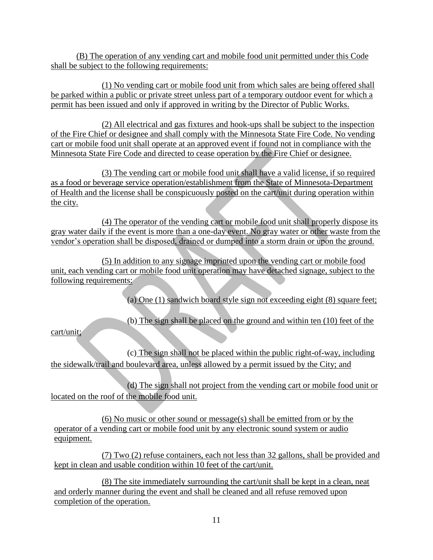(B) The operation of any vending cart and mobile food unit permitted under this Code shall be subject to the following requirements:

(1) No vending cart or mobile food unit from which sales are being offered shall be parked within a public or private street unless part of a temporary outdoor event for which a permit has been issued and only if approved in writing by the Director of Public Works.

(2) All electrical and gas fixtures and hook-ups shall be subject to the inspection of the Fire Chief or designee and shall comply with the Minnesota State Fire Code. No vending cart or mobile food unit shall operate at an approved event if found not in compliance with the Minnesota State Fire Code and directed to cease operation by the Fire Chief or designee.

(3) The vending cart or mobile food unit shall have a valid license, if so required as a food or beverage service operation/establishment from the State of Minnesota-Department of Health and the license shall be conspicuously posted on the cart/unit during operation within the city.

(4) The operator of the vending cart or mobile food unit shall properly dispose its gray water daily if the event is more than a one-day event. No gray water or other waste from the vendor's operation shall be disposed, drained or dumped into a storm drain or upon the ground.

(5) In addition to any signage imprinted upon the vending cart or mobile food unit, each vending cart or mobile food unit operation may have detached signage, subject to the following requirements:

(a) One (1) sandwich board style sign not exceeding eight (8) square feet;

(b) The sign shall be placed on the ground and within ten (10) feet of the

cart/unit;

(c) The sign shall not be placed within the public right-of-way, including the sidewalk/trail and boulevard area, unless allowed by a permit issued by the City; and

(d) The sign shall not project from the vending cart or mobile food unit or located on the roof of the mobile food unit.

(6) No music or other sound or message(s) shall be emitted from or by the operator of a vending cart or mobile food unit by any electronic sound system or audio equipment.

(7) Two (2) refuse containers, each not less than 32 gallons, shall be provided and kept in clean and usable condition within 10 feet of the cart/unit.

(8) The site immediately surrounding the cart/unit shall be kept in a clean, neat and orderly manner during the event and shall be cleaned and all refuse removed upon completion of the operation.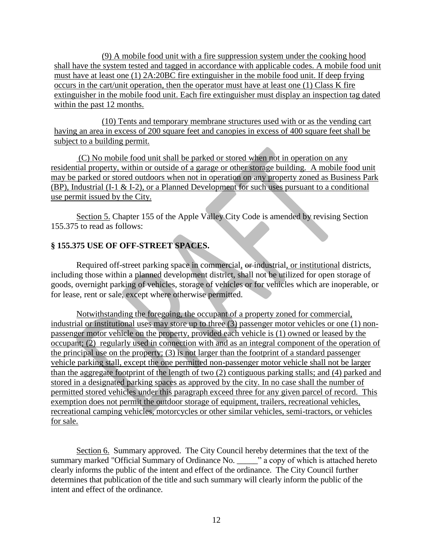(9) A mobile food unit with a fire suppression system under the cooking hood shall have the system tested and tagged in accordance with applicable codes. A mobile food unit must have at least one (1) 2A:20BC fire extinguisher in the mobile food unit. If deep frying occurs in the cart/unit operation, then the operator must have at least one (1) Class K fire extinguisher in the mobile food unit. Each fire extinguisher must display an inspection tag dated within the past 12 months.

(10) Tents and temporary membrane structures used with or as the vending cart having an area in excess of 200 square feet and canopies in excess of 400 square feet shall be subject to a building permit.

(C) No mobile food unit shall be parked or stored when not in operation on any residential property, within or outside of a garage or other storage building. A mobile food unit may be parked or stored outdoors when not in operation on any property zoned as Business Park (BP), Industrial (I-1 & I-2), or a Planned Development for such uses pursuant to a conditional use permit issued by the City.

Section 5. Chapter 155 of the Apple Valley City Code is amended by revising Section 155.375 to read as follows:

# **§ 155.375 USE OF OFF-STREET SPACES.**

Required off-street parking space in commercial, or industrial, or institutional districts, including those within a planned development district, shall not be utilized for open storage of goods, overnight parking of vehicles, storage of vehicles or for vehicles which are inoperable, or for lease, rent or sale, except where otherwise permitted.

Notwithstanding the foregoing, the occupant of a property zoned for commercial, industrial or institutional uses may store up to three (3) passenger motor vehicles or one (1) nonpassenger motor vehicle on the property, provided each vehicle is (1) owned or leased by the occupant; (2) regularly used in connection with and as an integral component of the operation of the principal use on the property; (3) is not larger than the footprint of a standard passenger vehicle parking stall, except the one permitted non-passenger motor vehicle shall not be larger than the aggregate footprint of the length of two (2) contiguous parking stalls; and (4) parked and stored in a designated parking spaces as approved by the city. In no case shall the number of permitted stored vehicles under this paragraph exceed three for any given parcel of record. This exemption does not permit the outdoor storage of equipment, trailers, recreational vehicles, recreational camping vehicles, motorcycles or other similar vehicles, semi-tractors, or vehicles for sale.

Section 6. Summary approved. The City Council hereby determines that the text of the summary marked "Official Summary of Ordinance No.  $\cdot$  " a copy of which is attached hereto" clearly informs the public of the intent and effect of the ordinance. The City Council further determines that publication of the title and such summary will clearly inform the public of the intent and effect of the ordinance.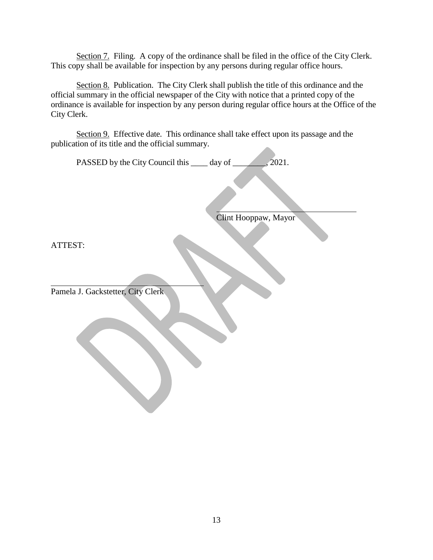Section 7. Filing. A copy of the ordinance shall be filed in the office of the City Clerk. This copy shall be available for inspection by any persons during regular office hours.

Section 8. Publication. The City Clerk shall publish the title of this ordinance and the official summary in the official newspaper of the City with notice that a printed copy of the ordinance is available for inspection by any person during regular office hours at the Office of the City Clerk.

Section 9. Effective date. This ordinance shall take effect upon its passage and the publication of its title and the official summary.

PASSED by the City Council this \_\_\_\_\_ day of \_\_\_\_\_\_\_\_, 2021.

Clint Hooppaw, Mayor

ATTEST:

Pamela J. Gackstetter, City Clerk